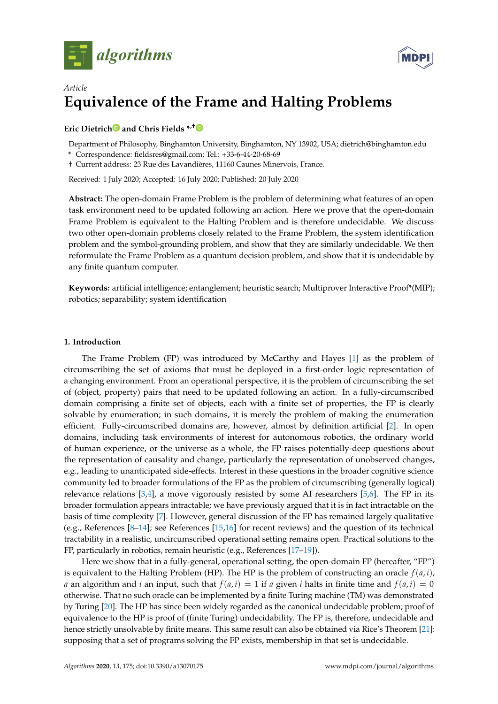



# *Article* **Equivalence of the Frame and Halting Problems**

# **Eric Dietric[h](https://orcid.org/0000-0002-1410-0307) and Chris Fields \*,[†](https://orcid.org/0000-0002-4812-0744)**

Department of Philosophy, Binghamton University, Binghamton, NY 13902, USA; dietrich@binghamton.edu

**\*** Correspondence: fieldsres@gmail.com; Tel.: +33-6-44-20-68-69

† Current address: 23 Rue des Lavandières, 11160 Caunes Minervois, France.

Received: 1 July 2020; Accepted: 16 July 2020; Published: 20 July 2020

**Abstract:** The open-domain Frame Problem is the problem of determining what features of an open task environment need to be updated following an action. Here we prove that the open-domain Frame Problem is equivalent to the Halting Problem and is therefore undecidable. We discuss two other open-domain problems closely related to the Frame Problem, the system identification problem and the symbol-grounding problem, and show that they are similarly undecidable. We then reformulate the Frame Problem as a quantum decision problem, and show that it is undecidable by any finite quantum computer.

**Keywords:** artificial intelligence; entanglement; heuristic search; Multiprover Interactive Proof\*(MIP); robotics; separability; system identification

# **1. Introduction**

The Frame Problem (FP) was introduced by McCarthy and Hayes [\[1\]](#page-6-0) as the problem of circumscribing the set of axioms that must be deployed in a first-order logic representation of a changing environment. From an operational perspective, it is the problem of circumscribing the set of (object, property) pairs that need to be updated following an action. In a fully-circumscribed domain comprising a finite set of objects, each with a finite set of properties, the FP is clearly solvable by enumeration; in such domains, it is merely the problem of making the enumeration efficient. Fully-circumscribed domains are, however, almost by definition artificial [\[2\]](#page-6-1). In open domains, including task environments of interest for autonomous robotics, the ordinary world of human experience, or the universe as a whole, the FP raises potentially-deep questions about the representation of causality and change, particularly the representation of unobserved changes, e.g., leading to unanticipated side-effects. Interest in these questions in the broader cognitive science community led to broader formulations of the FP as the problem of circumscribing (generally logical) relevance relations [\[3](#page-6-2)[,4\]](#page-6-3), a move vigorously resisted by some AI researchers [\[5,](#page-6-4)[6\]](#page-6-5). The FP in its broader formulation appears intractable; we have previously argued that it is in fact intractable on the basis of time complexity [\[7\]](#page-6-6). However, general discussion of the FP has remained largely qualitative (e.g., References [\[8–](#page-6-7)[14\]](#page-7-0); see References [\[15](#page-7-1)[,16\]](#page-7-2) for recent reviews) and the question of its technical tractability in a realistic, uncircumscribed operational setting remains open. Practical solutions to the FP, particularly in robotics, remain heuristic (e.g., References [\[17–](#page-7-3)[19\]](#page-7-4)).

Here we show that in a fully-general, operational setting, the open-domain FP (hereafter, "FP") is equivalent to the Halting Problem (HP). The HP is the problem of constructing an oracle  $f(a, i)$ , *a* an algorithm and *i* an input, such that  $f(a, i) = 1$  if *a* given *i* halts in finite time and  $f(a, i) = 0$ otherwise. That no such oracle can be implemented by a finite Turing machine (TM) was demonstrated by Turing [\[20\]](#page-7-5). The HP has since been widely regarded as the canonical undecidable problem; proof of equivalence to the HP is proof of (finite Turing) undecidability. The FP is, therefore, undecidable and hence strictly unsolvable by finite means. This same result can also be obtained via Rice's Theorem [\[21\]](#page-7-6): supposing that a set of programs solving the FP exists, membership in that set is undecidable.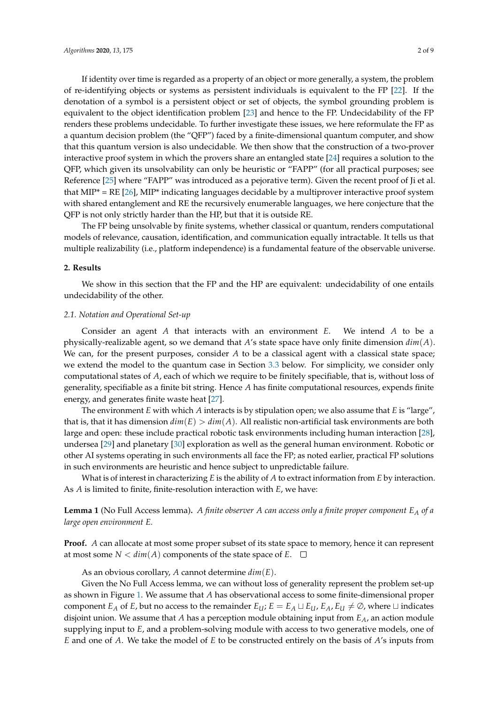If identity over time is regarded as a property of an object or more generally, a system, the problem of re-identifying objects or systems as persistent individuals is equivalent to the FP [\[22\]](#page-7-7). If the denotation of a symbol is a persistent object or set of objects, the symbol grounding problem is equivalent to the object identification problem [\[23\]](#page-7-8) and hence to the FP. Undecidability of the FP renders these problems undecidable. To further investigate these issues, we here reformulate the FP as a quantum decision problem (the "QFP") faced by a finite-dimensional quantum computer, and show that this quantum version is also undecidable. We then show that the construction of a two-prover interactive proof system in which the provers share an entangled state [\[24\]](#page-7-9) requires a solution to the QFP, which given its unsolvability can only be heuristic or "FAPP" (for all practical purposes; see Reference [\[25\]](#page-7-10) where "FAPP" was introduced as a pejorative term). Given the recent proof of Ji et al. that  $MIP^* = RE [26]$  $MIP^* = RE [26]$ ,  $MIP^*$  indicating languages decidable by a multiprover interactive proof system with shared entanglement and RE the recursively enumerable languages, we here conjecture that the QFP is not only strictly harder than the HP, but that it is outside RE.

The FP being unsolvable by finite systems, whether classical or quantum, renders computational models of relevance, causation, identification, and communication equally intractable. It tells us that multiple realizability (i.e., platform independence) is a fundamental feature of the observable universe.

### **2. Results**

We show in this section that the FP and the HP are equivalent: undecidability of one entails undecidability of the other.

# *2.1. Notation and Operational Set-up*

Consider an agent *A* that interacts with an environment *E*. We intend *A* to be a physically-realizable agent, so we demand that *A*'s state space have only finite dimension *dim*(*A*). We can, for the present purposes, consider *A* to be a classical agent with a classical state space; we extend the model to the quantum case in Section [3.3](#page-4-0) below. For simplicity, we consider only computational states of *A*, each of which we require to be finitely specifiable, that is, without loss of generality, specifiable as a finite bit string. Hence *A* has finite computational resources, expends finite energy, and generates finite waste heat [\[27\]](#page-7-12).

The environment *E* with which *A* interacts is by stipulation open; we also assume that *E* is "large", that is, that it has dimension  $dim(E) > dim(A)$ . All realistic non-artificial task environments are both large and open: these include practical robotic task environments including human interaction [\[28\]](#page-7-13), undersea [\[29\]](#page-7-14) and planetary [\[30\]](#page-7-15) exploration as well as the general human environment. Robotic or other AI systems operating in such environments all face the FP; as noted earlier, practical FP solutions in such environments are heuristic and hence subject to unpredictable failure.

What is of interest in characterizing *E* is the ability of *A* to extract information from *E* by interaction. As *A* is limited to finite, finite-resolution interaction with *E*, we have:

# **Lemma 1** (No Full Access lemma)**.** *A finite observer A can access only a finite proper component E<sup>A</sup> of a large open environment E.*

**Proof.** *A* can allocate at most some proper subset of its state space to memory, hence it can represent at most some  $N < dim(A)$  components of the state space of  $E$ .  $\square$ 

As an obvious corollary, *A* cannot determine *dim*(*E*).

Given the No Full Access lemma, we can without loss of generality represent the problem set-up as shown in Figure [1.](#page-2-0) We assume that *A* has observational access to some finite-dimensional proper component *E<sub>A</sub>* of *E*, but no access to the remainder  $E_U$ ;  $E = E_A \sqcup E_U$ ,  $E_A$ ,  $E_U \neq \emptyset$ , where  $\sqcup$  indicates disjoint union. We assume that *A* has a perception module obtaining input from *EA*, an action module supplying input to *E*, and a problem-solving module with access to two generative models, one of *E* and one of *A*. We take the model of *E* to be constructed entirely on the basis of *A*'s inputs from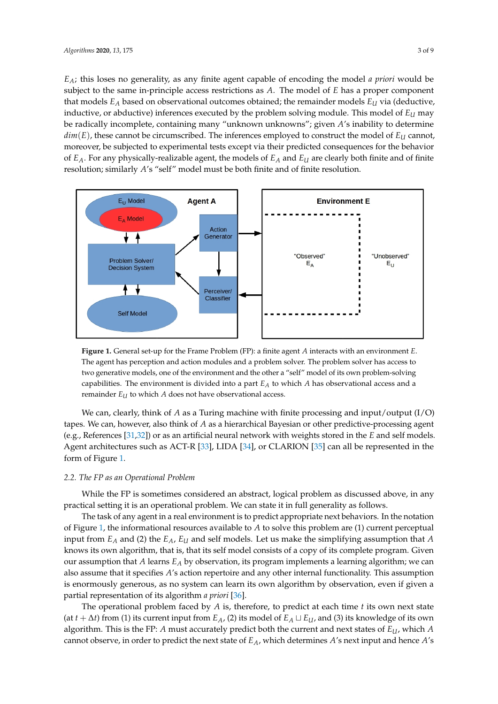*EA*; this loses no generality, as any finite agent capable of encoding the model *a priori* would be subject to the same in-principle access restrictions as *A*. The model of *E* has a proper component that models *E<sup>A</sup>* based on observational outcomes obtained; the remainder models *E<sup>U</sup>* via (deductive, inductive, or abductive) inferences executed by the problem solving module. This model of *E<sup>U</sup>* may be radically incomplete, containing many "unknown unknowns"; given *A*'s inability to determine  $dim(E)$ , these cannot be circumscribed. The inferences employed to construct the model of  $E_U$  cannot, moreover, be subjected to experimental tests except via their predicted consequences for the behavior of *EA*. For any physically-realizable agent, the models of *E<sup>A</sup>* and *E<sup>U</sup>* are clearly both finite and of finite resolution; similarly *A*'s "self" model must be both finite and of finite resolution.

<span id="page-2-0"></span>

**Figure 1.** General set-up for the Frame Problem (FP): a finite agent *A* interacts with an environment *E*. The agent has perception and action modules and a problem solver. The problem solver has access to two generative models, one of the environment and the other a "self" model of its own problem-solving capabilities. The environment is divided into a part *E<sup>A</sup>* to which *A* has observational access and a remainder *E<sup>U</sup>* to which *A* does not have observational access.

We can, clearly, think of *A* as a Turing machine with finite processing and input/output (I/O) tapes. We can, however, also think of *A* as a hierarchical Bayesian or other predictive-processing agent (e.g., References [\[31](#page-7-16)[,32\]](#page-7-17)) or as an artificial neural network with weights stored in the *E* and self models. Agent architectures such as ACT-R [\[33\]](#page-7-18), LIDA [\[34\]](#page-7-19), or CLARION [\[35\]](#page-8-0) can all be represented in the form of Figure [1.](#page-2-0)

#### *2.2. The FP as an Operational Problem*

While the FP is sometimes considered an abstract, logical problem as discussed above, in any practical setting it is an operational problem. We can state it in full generality as follows.

The task of any agent in a real environment is to predict appropriate next behaviors. In the notation of Figure [1,](#page-2-0) the informational resources available to *A* to solve this problem are (1) current perceptual input from *E<sup>A</sup>* and (2) the *EA*, *E<sup>U</sup>* and self models. Let us make the simplifying assumption that *A* knows its own algorithm, that is, that its self model consists of a copy of its complete program. Given our assumption that *A* learns *E<sup>A</sup>* by observation, its program implements a learning algorithm; we can also assume that it specifies *A*'s action repertoire and any other internal functionality. This assumption is enormously generous, as no system can learn its own algorithm by observation, even if given a partial representation of its algorithm *a priori* [\[36\]](#page-8-1).

The operational problem faced by *A* is, therefore, to predict at each time *t* its own next state (at  $t + \Delta t$ ) from (1) its current input from  $E_A$ , (2) its model of  $E_A \sqcup E_U$ , and (3) its knowledge of its own algorithm. This is the FP: *A* must accurately predict both the current and next states of *EU*, which *A* cannot observe, in order to predict the next state of *EA*, which determines *A*'s next input and hence *A*'s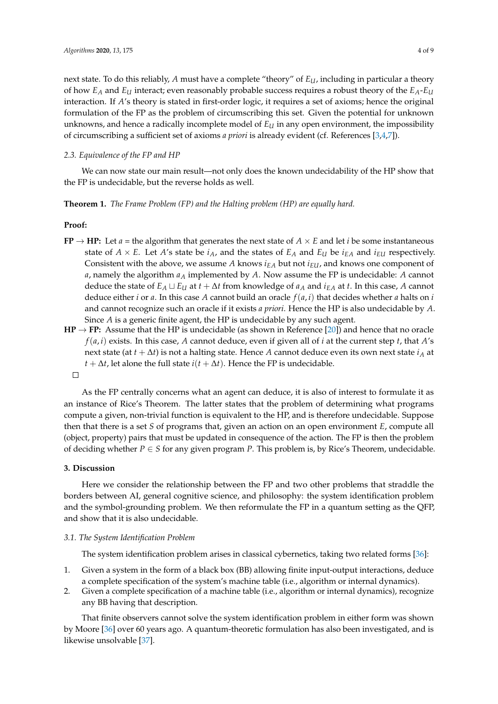next state. To do this reliably, *A* must have a complete "theory" of *EU*, including in particular a theory of how *E<sup>A</sup>* and *E<sup>U</sup>* interact; even reasonably probable success requires a robust theory of the *EA*-*E<sup>U</sup>* interaction. If *A*'s theory is stated in first-order logic, it requires a set of axioms; hence the original formulation of the FP as the problem of circumscribing this set. Given the potential for unknown unknowns, and hence a radically incomplete model of  $E<sub>U</sub>$  in any open environment, the impossibility of circumscribing a sufficient set of axioms *a priori* is already evident (cf. References [\[3](#page-6-2)[,4](#page-6-3)[,7\]](#page-6-6)).

# *2.3. Equivalence of the FP and HP*

We can now state our main result—not only does the known undecidability of the HP show that the FP is undecidable, but the reverse holds as well.

**Theorem 1.** *The Frame Problem (FP) and the Halting problem (HP) are equally hard.*

#### **Proof:**

- **FP**  $\rightarrow$  **HP:** Let *a* = the algorithm that generates the next state of *A*  $\times$  *E* and let *i* be some instantaneous state of  $A \times E$ . Let  $A'$ s state be  $i_A$ , and the states of  $E_A$  and  $E_U$  be  $i_{EA}$  and  $i_{EU}$  respectively. Consistent with the above, we assume  $A$  knows  $i_{EA}$  but not  $i_{EU}$ , and knows one component of *a*, namely the algorithm *a<sup>A</sup>* implemented by *A*. Now assume the FP is undecidable: *A* cannot deduce the state of  $E_A \sqcup E_U$  at  $t + \Delta t$  from knowledge of  $a_A$  and  $i_{EA}$  at  $t$ . In this case,  $A$  cannot deduce either *i* or *a*. In this case *A* cannot build an oracle  $f(a, i)$  that decides whether *a* halts on *i* and cannot recognize such an oracle if it exists *a priori*. Hence the HP is also undecidable by *A*. Since *A* is a generic finite agent, the HP is undecidable by any such agent.
- $HP \rightarrow FP$ : Assume that the HP is undecidable (as shown in Reference [\[20\]](#page-7-5)) and hence that no oracle  $f(a, i)$  exists. In this case, *A* cannot deduce, even if given all of *i* at the current step *t*, that *A*'s next state (at *t* + ∆*t*) is not a halting state. Hence *A* cannot deduce even its own next state *i<sup>A</sup>* at *t* + ∆*t*, let alone the full state *i*( $t + \Delta t$ ). Hence the FP is undecidable.  $\Box$

As the FP centrally concerns what an agent can deduce, it is also of interest to formulate it as an instance of Rice's Theorem. The latter states that the problem of determining what programs compute a given, non-trivial function is equivalent to the HP, and is therefore undecidable. Suppose then that there is a set *S* of programs that, given an action on an open environment *E*, compute all (object, property) pairs that must be updated in consequence of the action. The FP is then the problem of deciding whether  $P \in S$  for any given program *P*. This problem is, by Rice's Theorem, undecidable.

#### **3. Discussion**

Here we consider the relationship between the FP and two other problems that straddle the borders between AI, general cognitive science, and philosophy: the system identification problem and the symbol-grounding problem. We then reformulate the FP in a quantum setting as the QFP, and show that it is also undecidable.

#### *3.1. The System Identification Problem*

The system identification problem arises in classical cybernetics, taking two related forms [\[36\]](#page-8-1):

- 1. Given a system in the form of a black box (BB) allowing finite input-output interactions, deduce a complete specification of the system's machine table (i.e., algorithm or internal dynamics).
- 2. Given a complete specification of a machine table (i.e., algorithm or internal dynamics), recognize any BB having that description.

That finite observers cannot solve the system identification problem in either form was shown by Moore [\[36\]](#page-8-1) over 60 years ago. A quantum-theoretic formulation has also been investigated, and is likewise unsolvable [\[37\]](#page-8-2).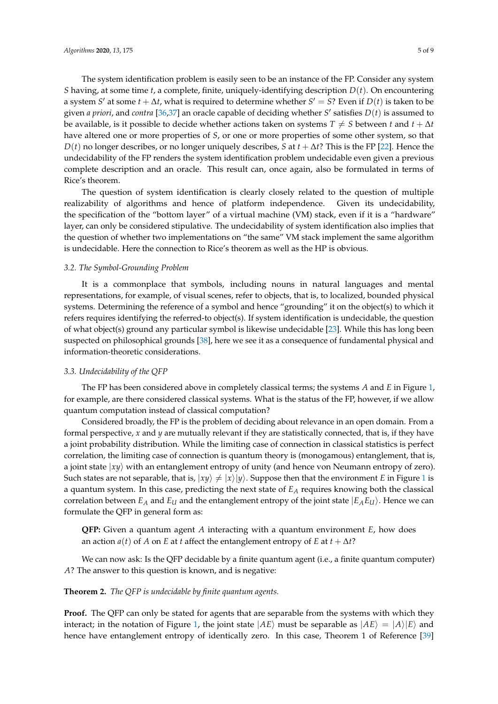The system identification problem is easily seen to be an instance of the FP. Consider any system *S* having, at some time *t*, a complete, finite, uniquely-identifying description *D*(*t*). On encountering a system *S'* at some  $t + \Delta t$ , what is required to determine whether  $S' = S$ ? Even if  $D(t)$  is taken to be given *a priori*, and *contra* [\[36,](#page-8-1)[37\]](#page-8-2) an oracle capable of deciding whether *S'* satisfies  $D(t)$  is assumed to be available, is it possible to decide whether actions taken on systems  $T \neq S$  between *t* and  $t + \Delta t$ have altered one or more properties of *S*, or one or more properties of some other system, so that *D*(*t*) no longer describes, or no longer uniquely describes, *S* at *t* + ∆*t*? This is the FP [\[22\]](#page-7-7). Hence the undecidability of the FP renders the system identification problem undecidable even given a previous complete description and an oracle. This result can, once again, also be formulated in terms of Rice's theorem.

The question of system identification is clearly closely related to the question of multiple realizability of algorithms and hence of platform independence. Given its undecidability, the specification of the "bottom layer" of a virtual machine (VM) stack, even if it is a "hardware" layer, can only be considered stipulative. The undecidability of system identification also implies that the question of whether two implementations on "the same" VM stack implement the same algorithm is undecidable. Here the connection to Rice's theorem as well as the HP is obvious.

# *3.2. The Symbol-Grounding Problem*

It is a commonplace that symbols, including nouns in natural languages and mental representations, for example, of visual scenes, refer to objects, that is, to localized, bounded physical systems. Determining the reference of a symbol and hence "grounding" it on the object(s) to which it refers requires identifying the referred-to object(s). If system identification is undecidable, the question of what object(s) ground any particular symbol is likewise undecidable [\[23\]](#page-7-8). While this has long been suspected on philosophical grounds [\[38\]](#page-8-3), here we see it as a consequence of fundamental physical and information-theoretic considerations.

# <span id="page-4-0"></span>*3.3. Undecidability of the QFP*

The FP has been considered above in completely classical terms; the systems *A* and *E* in Figure [1,](#page-2-0) for example, are there considered classical systems. What is the status of the FP, however, if we allow quantum computation instead of classical computation?

Considered broadly, the FP is the problem of deciding about relevance in an open domain. From a formal perspective, *x* and *y* are mutually relevant if they are statistically connected, that is, if they have a joint probability distribution. While the limiting case of connection in classical statistics is perfect correlation, the limiting case of connection is quantum theory is (monogamous) entanglement, that is, a joint state  $|xy\rangle$  with an entanglement entropy of unity (and hence von Neumann entropy of zero). Such states are not separable, that is,  $|xy\rangle \neq |x\rangle|y\rangle$ . Suppose then that the environment *E* in Figure [1](#page-2-0) is a quantum system. In this case, predicting the next state of *E<sup>A</sup>* requires knowing both the classical correlation between  $E_A$  and  $E_U$  and the entanglement entropy of the joint state  $|E_A E_U\rangle$ . Hence we can formulate the QFP in general form as:

**QFP:** Given a quantum agent *A* interacting with a quantum environment *E*, how does an action  $a(t)$  of *A* on *E* at *t* affect the entanglement entropy of *E* at  $t + \Delta t$ ?

We can now ask: Is the QFP decidable by a finite quantum agent (i.e., a finite quantum computer) *A*? The answer to this question is known, and is negative:

# **Theorem 2.** *The QFP is undecidable by finite quantum agents.*

Proof. The QFP can only be stated for agents that are separable from the systems with which they interact; in the notation of Figure [1,](#page-2-0) the joint state  $|AE\rangle$  must be separable as  $|AE\rangle = |A\rangle|E\rangle$  and hence have entanglement entropy of identically zero. In this case, Theorem 1 of Reference [\[39\]](#page-8-4)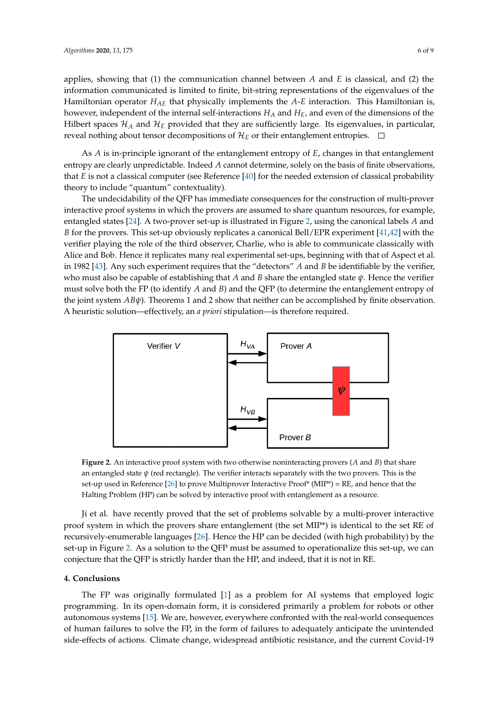applies, showing that (1) the communication channel between *A* and *E* is classical, and (2) the information communicated is limited to finite, bit-string representations of the eigenvalues of the Hamiltonian operator *HAE* that physically implements the *A*-*E* interaction. This Hamiltonian is, however, independent of the internal self-interactions *H<sup>A</sup>* and *HE*, and even of the dimensions of the Hilbert spaces  $\mathcal{H}_A$  and  $\mathcal{H}_E$  provided that they are sufficiently large. Its eigenvalues, in particular, reveal nothing about tensor decompositions of  $\mathcal{H}_E$  or their entanglement entropies.  $\Box$ 

As *A* is in-principle ignorant of the entanglement entropy of *E*, changes in that entanglement entropy are clearly unpredictable. Indeed *A* cannot determine, solely on the basis of finite observations, that *E* is not a classical computer (see Reference [\[40\]](#page-8-5) for the needed extension of classical probability theory to include "quantum" contextuality).

The undecidability of the QFP has immediate consequences for the construction of multi-prover interactive proof systems in which the provers are assumed to share quantum resources, for example, entangled states [\[24\]](#page-7-9). A two-prover set-up is illustrated in Figure [2,](#page-5-0) using the canonical labels *A* and *B* for the provers. This set-up obviously replicates a canonical Bell/EPR experiment [\[41](#page-8-6)[,42\]](#page-8-7) with the verifier playing the role of the third observer, Charlie, who is able to communicate classically with Alice and Bob. Hence it replicates many real experimental set-ups, beginning with that of Aspect et al. in 1982 [\[43\]](#page-8-8). Any such experiment requires that the "detectors" *A* and *B* be identifiable by the verifier, who must also be capable of establishing that *A* and *B* share the entangled state *ψ*. Hence the verifier must solve both the FP (to identify *A* and *B*) and the QFP (to determine the entanglement entropy of the joint system *ABψ*). Theorems 1 and 2 show that neither can be accomplished by finite observation. A heuristic solution—effectively, an *a priori* stipulation—is therefore required.

<span id="page-5-0"></span>

**Figure 2.** An interactive proof system with two otherwise noninteracting provers (*A* and *B*) that share an entangled state  $\psi$  (red rectangle). The verifier interacts separately with the two provers. This is the set-up used in Reference [\[26\]](#page-7-11) to prove Multiprover Interactive Proof\* (MIP\*) = RE, and hence that the Halting Problem (HP) can be solved by interactive proof with entanglement as a resource.

Ji et al. have recently proved that the set of problems solvable by a multi-prover interactive proof system in which the provers share entanglement (the set MIP\*) is identical to the set RE of recursively-enumerable languages [\[26\]](#page-7-11). Hence the HP can be decided (with high probability) by the set-up in Figure [2.](#page-5-0) As a solution to the QFP must be assumed to operationalize this set-up, we can conjecture that the QFP is strictly harder than the HP, and indeed, that it is not in RE.

#### **4. Conclusions**

The FP was originally formulated [\[1\]](#page-6-0) as a problem for AI systems that employed logic programming. In its open-domain form, it is considered primarily a problem for robots or other autonomous systems [\[15\]](#page-7-1). We are, however, everywhere confronted with the real-world consequences of human failures to solve the FP, in the form of failures to adequately anticipate the unintended side-effects of actions. Climate change, widespread antibiotic resistance, and the current Covid-19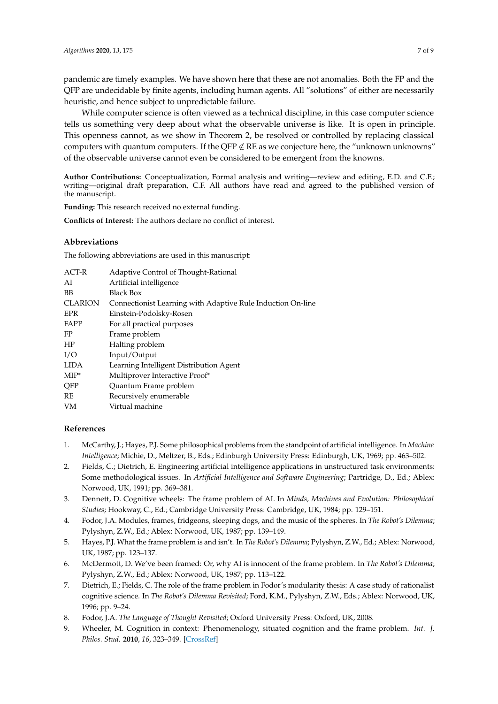pandemic are timely examples. We have shown here that these are not anomalies. Both the FP and the QFP are undecidable by finite agents, including human agents. All "solutions" of either are necessarily heuristic, and hence subject to unpredictable failure.

While computer science is often viewed as a technical discipline, in this case computer science tells us something very deep about what the observable universe is like. It is open in principle. This openness cannot, as we show in Theorem 2, be resolved or controlled by replacing classical computers with quantum computers. If the QFP  $\notin$  RE as we conjecture here, the "unknown unknowns" of the observable universe cannot even be considered to be emergent from the knowns.

**Author Contributions:** Conceptualization, Formal analysis and writing—review and editing, E.D. and C.F.; writing—original draft preparation, C.F. All authors have read and agreed to the published version of the manuscript.

**Funding:** This research received no external funding.

**Conflicts of Interest:** The authors declare no conflict of interest.

# **Abbreviations**

The following abbreviations are used in this manuscript:

| ACT-R          | Adaptive Control of Thought-Rational                        |
|----------------|-------------------------------------------------------------|
| AI             | Artificial intelligence                                     |
| <b>BB</b>      | <b>Black Box</b>                                            |
| <b>CLARION</b> | Connectionist Learning with Adaptive Rule Induction On-line |
| <b>EPR</b>     | Einstein-Podolsky-Rosen                                     |
| FAPP           | For all practical purposes                                  |
| FP             | Frame problem                                               |
| HP             | Halting problem                                             |
| I/O            | Input/Output                                                |
| <b>LIDA</b>    | Learning Intelligent Distribution Agent                     |
| $MIP^*$        | Multiprover Interactive Proof*                              |
| QFP            | Quantum Frame problem                                       |
| RE             | Recursively enumerable                                      |
| VM             | Virtual machine                                             |
|                |                                                             |

# **References**

- <span id="page-6-0"></span>1. McCarthy, J.; Hayes, P.J. Some philosophical problems from the standpoint of artificial intelligence. In *Machine Intelligence*; Michie, D., Meltzer, B., Eds.; Edinburgh University Press: Edinburgh, UK, 1969; pp. 463–502.
- <span id="page-6-1"></span>2. Fields, C.; Dietrich, E. Engineering artificial intelligence applications in unstructured task environments: Some methodological issues. In *Artificial Intelligence and Software Engineering*; Partridge, D., Ed.; Ablex: Norwood, UK, 1991; pp. 369–381.
- <span id="page-6-2"></span>3. Dennett, D. Cognitive wheels: The frame problem of AI. In *Minds, Machines and Evolution: Philosophical Studies*; Hookway, C., Ed.; Cambridge University Press: Cambridge, UK, 1984; pp. 129–151.
- <span id="page-6-3"></span>4. Fodor, J.A. Modules, frames, fridgeons, sleeping dogs, and the music of the spheres. In *The Robot's Dilemma*; Pylyshyn, Z.W., Ed.; Ablex: Norwood, UK, 1987; pp. 139–149.
- <span id="page-6-4"></span>5. Hayes, P.J. What the frame problem is and isn't. In *The Robot's Dilemma*; Pylyshyn, Z.W., Ed.; Ablex: Norwood, UK, 1987; pp. 123–137.
- <span id="page-6-5"></span>6. McDermott, D. We've been framed: Or, why AI is innocent of the frame problem. In *The Robot's Dilemma*; Pylyshyn, Z.W., Ed.; Ablex: Norwood, UK, 1987; pp. 113–122.
- <span id="page-6-6"></span>7. Dietrich, E.; Fields, C. The role of the frame problem in Fodor's modularity thesis: A case study of rationalist cognitive science. In *The Robot's Dilemma Revisited*; Ford, K.M., Pylyshyn, Z.W., Eds.; Ablex: Norwood, UK, 1996; pp. 9–24.
- <span id="page-6-7"></span>8. Fodor, J.A. *The Language of Thought Revisited*; Oxford University Press: Oxford, UK, 2008.
- 9. Wheeler, M. Cognition in context: Phenomenology, situated cognition and the frame problem. *Int. J. Philos. Stud.* **2010**, *16*, 323–349. [\[CrossRef\]](http://dx.doi.org/10.1080/09672550802113235)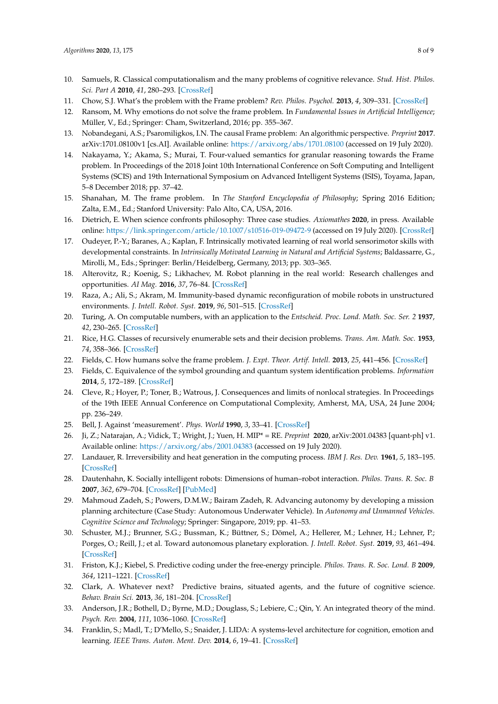- 10. Samuels, R. Classical computationalism and the many problems of cognitive relevance. *Stud. Hist. Philos. Sci. Part A* **2010**, *41*, 280–293. [\[CrossRef\]](http://dx.doi.org/10.1016/j.shpsa.2010.07.006)
- 11. Chow, S.J. What's the problem with the Frame problem? *Rev. Philos. Psychol.* **2013**, *4*, 309–331. [\[CrossRef\]](http://dx.doi.org/10.1007/s13164-013-0137-4)
- 12. Ransom, M. Why emotions do not solve the frame problem. In *Fundamental Issues in Artificial Intelligence*; Müller, V., Ed.; Springer: Cham, Switzerland, 2016; pp. 355–367.
- 13. Nobandegani, A.S.; Psaromiligkos, I.N. The causal Frame problem: An algorithmic perspective. *Preprint* **2017**. arXiv:1701.08100v1 [cs.AI]. Available online: <https://arxiv.org/abs/1701.08100> (accessed on 19 July 2020).
- <span id="page-7-0"></span>14. Nakayama, Y.; Akama, S.; Murai, T. Four-valued semantics for granular reasoning towards the Frame problem. In Proceedings of the 2018 Joint 10th International Conference on Soft Computing and Intelligent Systems (SCIS) and 19th International Symposium on Advanced Intelligent Systems (ISIS), Toyama, Japan, 5–8 December 2018; pp. 37–42.
- <span id="page-7-1"></span>15. Shanahan, M. The frame problem. In *The Stanford Encyclopedia of Philosophy*; Spring 2016 Edition; Zalta, E.M., Ed.; Stanford University: Palo Alto, CA, USA, 2016.
- <span id="page-7-2"></span>16. Dietrich, E. When science confronts philosophy: Three case studies. *Axiomathes* **2020**, in press. Available online: <https://link.springer.com/article/10.1007/s10516-019-09472-9> (accessed on 19 July 2020). [\[CrossRef\]](http://dx.doi.org/10.1007/s10516-019-09472-9)
- <span id="page-7-3"></span>17. Oudeyer, P.-Y.; Baranes, A.; Kaplan, F. Intrinsically motivated learning of real world sensorimotor skills with developmental constraints. In *Intrinsically Motivated Learning in Natural and Artificial Systems*; Baldassarre, G., Mirolli, M., Eds.; Springer: Berlin/Heidelberg, Germany, 2013; pp. 303–365.
- 18. Alterovitz, R.; Koenig, S.; Likhachev, M. Robot planning in the real world: Research challenges and opportunities. *AI Mag.* **2016**, *37*, 76–84. [\[CrossRef\]](http://dx.doi.org/10.1609/aimag.v37i2.2651)
- <span id="page-7-4"></span>19. Raza, A.; Ali, S.; Akram, M. Immunity-based dynamic reconfiguration of mobile robots in unstructured environments. *J. Intell. Robot. Syst.* **2019**, *96*, 501–515. [\[CrossRef\]](http://dx.doi.org/10.1007/s10846-019-01000-6)
- <span id="page-7-5"></span>20. Turing, A. On computable numbers, with an application to the *Entscheid. Proc. Lond. Math. Soc. Ser. 2* **1937**, *42*, 230–265. [\[CrossRef\]](http://dx.doi.org/10.1112/plms/s2-42.1.230)
- <span id="page-7-6"></span>21. Rice, H.G. Classes of recursively enumerable sets and their decision problems. *Trans. Am. Math. Soc.* **1953**, *74*, 358–366. [\[CrossRef\]](http://dx.doi.org/10.1090/S0002-9947-1953-0053041-6)
- <span id="page-7-7"></span>22. Fields, C. How humans solve the frame problem. *J. Expt. Theor. Artif. Intell.* **2013**, *25*, 441–456. [\[CrossRef\]](http://dx.doi.org/10.1080/0952813X.2012.741624)
- <span id="page-7-8"></span>23. Fields, C. Equivalence of the symbol grounding and quantum system identification problems. *Information* **2014**, *5*, 172–189. [\[CrossRef\]](http://dx.doi.org/10.3390/info5010172)
- <span id="page-7-9"></span>24. Cleve, R.; Hoyer, P.; Toner, B.; Watrous, J. Consequences and limits of nonlocal strategies. In Proceedings of the 19th IEEE Annual Conference on Computational Complexity, Amherst, MA, USA, 24 June 2004; pp. 236–249.
- <span id="page-7-10"></span>25. Bell, J. Against 'measurement'. *Phys. World* **1990**, *3*, 33–41. [\[CrossRef\]](http://dx.doi.org/10.1088/2058-7058/3/8/26)
- <span id="page-7-11"></span>26. Ji, Z.; Natarajan, A.; Vidick, T.; Wright, J.; Yuen, H. MIP\* = RE. *Preprint* **2020**, arXiv:2001.04383 [quant-ph] v1. Available online: <https://arxiv.org/abs/2001.04383> (accessed on 19 July 2020).
- <span id="page-7-12"></span>27. Landauer, R. Irreversibility and heat generation in the computing process. *IBM J. Res. Dev.* **1961**, *5*, 183–195. [\[CrossRef\]](http://dx.doi.org/10.1147/rd.53.0183)
- <span id="page-7-13"></span>28. Dautenhahn, K. Socially intelligent robots: Dimensions of human–robot interaction. *Philos. Trans. R. Soc. B* **2007**, *362*, 679–704. [\[CrossRef\]](http://dx.doi.org/10.1098/rstb.2006.2004) [\[PubMed\]](http://www.ncbi.nlm.nih.gov/pubmed/17301026)
- <span id="page-7-14"></span>29. Mahmoud Zadeh, S.; Powers, D.M.W.; Bairam Zadeh, R. Advancing autonomy by developing a mission planning architecture (Case Study: Autonomous Underwater Vehicle). In *Autonomy and Unmanned Vehicles. Cognitive Science and Technology*; Springer: Singapore, 2019; pp. 41–53.
- <span id="page-7-15"></span>30. Schuster, M.J.; Brunner, S.G.; Bussman, K.; Büttner, S.; Dömel, A.; Hellerer, M.; Lehner, H.; Lehner, P.; Porges, O.; Reill, J.; et al. Toward autonomous planetary exploration. *J. Intell. Robot. Syst.* **2019**, *93*, 461–494. [\[CrossRef\]](http://dx.doi.org/10.1007/s10846-017-0680-9)
- <span id="page-7-16"></span>31. Friston, K.J.; Kiebel, S. Predictive coding under the free-energy principle. *Philos. Trans. R. Soc. Lond. B* **2009**, *364*, 1211–1221. [\[CrossRef\]](http://dx.doi.org/10.1098/rstb.2008.0300)
- <span id="page-7-17"></span>32. Clark, A. Whatever next? Predictive brains, situated agents, and the future of cognitive science. *Behav. Brain Sci.* **2013**, *36*, 181–204. [\[CrossRef\]](http://dx.doi.org/10.1017/S0140525X12000477)
- <span id="page-7-18"></span>33. Anderson, J.R.; Bothell, D.; Byrne, M.D.; Douglass, S.; Lebiere, C.; Qin, Y. An integrated theory of the mind. *Psych. Rev.* **2004**, *111*, 1036–1060. [\[CrossRef\]](http://dx.doi.org/10.1037/0033-295X.111.4.1036)
- <span id="page-7-19"></span>34. Franklin, S.; Madl, T.; D'Mello, S.; Snaider, J. LIDA: A systems-level architecture for cognition, emotion and learning. *IEEE Trans. Auton. Ment. Dev.* **2014**, *6*, 19–41. [\[CrossRef\]](http://dx.doi.org/10.1109/TAMD.2013.2277589)